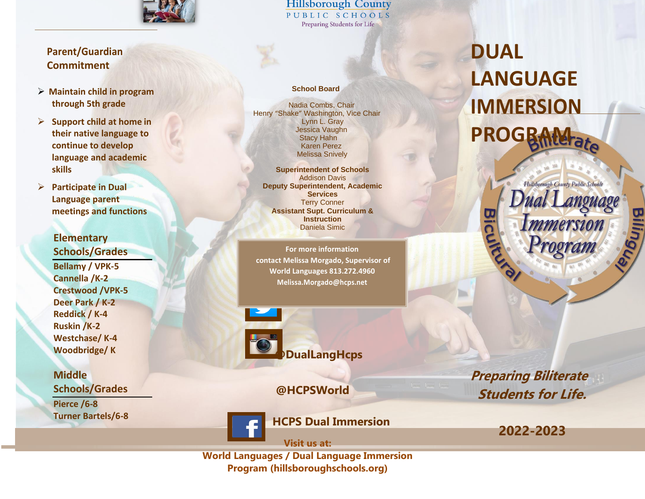

## **Parent/Guardian Commitment**

- ➢ **Maintain child in program through 5th grade**
- ➢ **Support child at home in their native language to continue to develop language and academic skills**
- ➢ **Participate in Dual Language parent meetings and functions**

**Elementary Schools/Grades Bellamy / VPK-5 Cannella /K-2 Crestwood /VPK-5 Deer Park / K-2 Reddick / K-4 Ruskin /K-2 Westchase/ K-4 Woodbridge/ K**

**Middle Schools/Grades Pierce /6-8 Turner Bartels/6-8** **Hillsborough County** PUBLIC SCHOOLS Preparing Students for Life

#### **School Board**

Nadia Combs, Chair Henry "Shake" Washington, Vice Chair Lynn L. Gray Jessica Vaughn Stacy Hahn Karen Perez Melissa Snively

**Superintendent of Schools** Addison Davis **Deputy Superintendent, Academic Services** Terry Conner **Assistant Supt. Curriculum & Instruction**  Daniela Simic

**For more information contact Melissa Morgado, Supervisor of World Languages 813.272.4960 [Melissa.Morgado@hcps.net](mailto:Melissa.Morgado@hcps.net)**





**@HCPSWorld**

**Preparing Biliterate Students for Life.**

**2022-2023**

**HCPS Dual Immersion**

**[Visit us at:](https://www.hillsboroughschools.org/Page/5189)** 

**[World Languages / Dual Language Immersion](https://www.hillsboroughschools.org/Page/5189)  [Program \(hillsboroughschools.org\)](https://www.hillsboroughschools.org/Page/5189)**

# **DUAL LANGUAGE IMMERSION PROGRAM**

Hillsborough County Public Schools